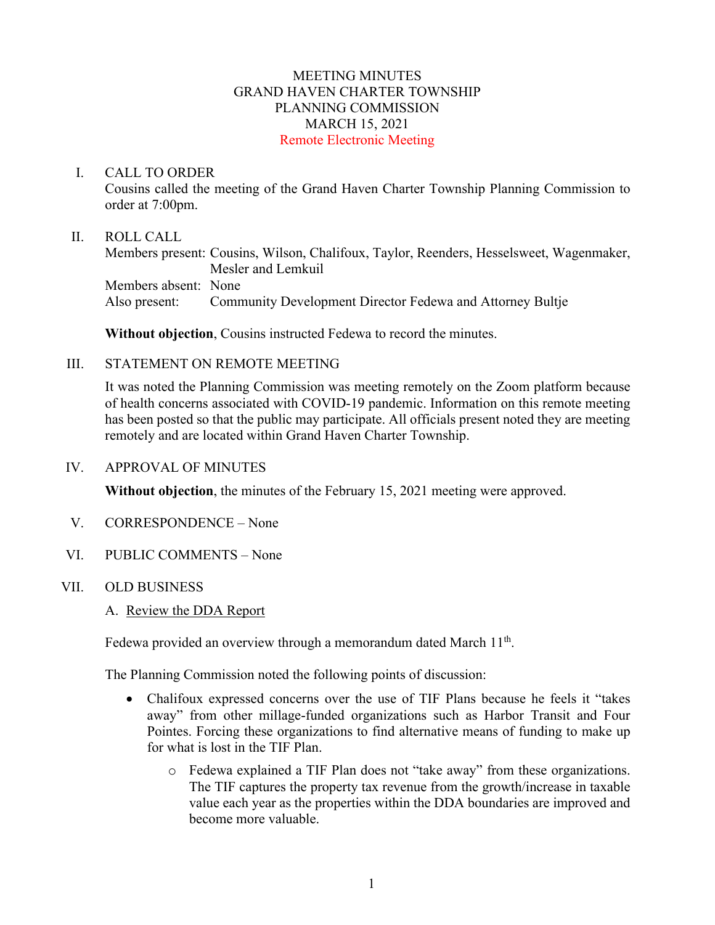### MEETING MINUTES GRAND HAVEN CHARTER TOWNSHIP PLANNING COMMISSION MARCH 15, 2021 Remote Electronic Meeting

#### I. CALL TO ORDER

Cousins called the meeting of the Grand Haven Charter Township Planning Commission to order at 7:00pm.

#### II. ROLL CALL

Members present: Cousins, Wilson, Chalifoux, Taylor, Reenders, Hesselsweet, Wagenmaker, Mesler and Lemkuil Members absent: None Also present: Community Development Director Fedewa and Attorney Bultje

**Without objection**, Cousins instructed Fedewa to record the minutes.

### III. STATEMENT ON REMOTE MEETING

It was noted the Planning Commission was meeting remotely on the Zoom platform because of health concerns associated with COVID-19 pandemic. Information on this remote meeting has been posted so that the public may participate. All officials present noted they are meeting remotely and are located within Grand Haven Charter Township.

#### IV. APPROVAL OF MINUTES

**Without objection**, the minutes of the February 15, 2021 meeting were approved.

- V. CORRESPONDENCE None
- VI. PUBLIC COMMENTS None

### VII. OLD BUSINESS

A. Review the DDA Report

Fedewa provided an overview through a memorandum dated March  $11<sup>th</sup>$ .

The Planning Commission noted the following points of discussion:

- Chalifoux expressed concerns over the use of TIF Plans because he feels it "takes away" from other millage-funded organizations such as Harbor Transit and Four Pointes. Forcing these organizations to find alternative means of funding to make up for what is lost in the TIF Plan.
	- o Fedewa explained a TIF Plan does not "take away" from these organizations. The TIF captures the property tax revenue from the growth/increase in taxable value each year as the properties within the DDA boundaries are improved and become more valuable.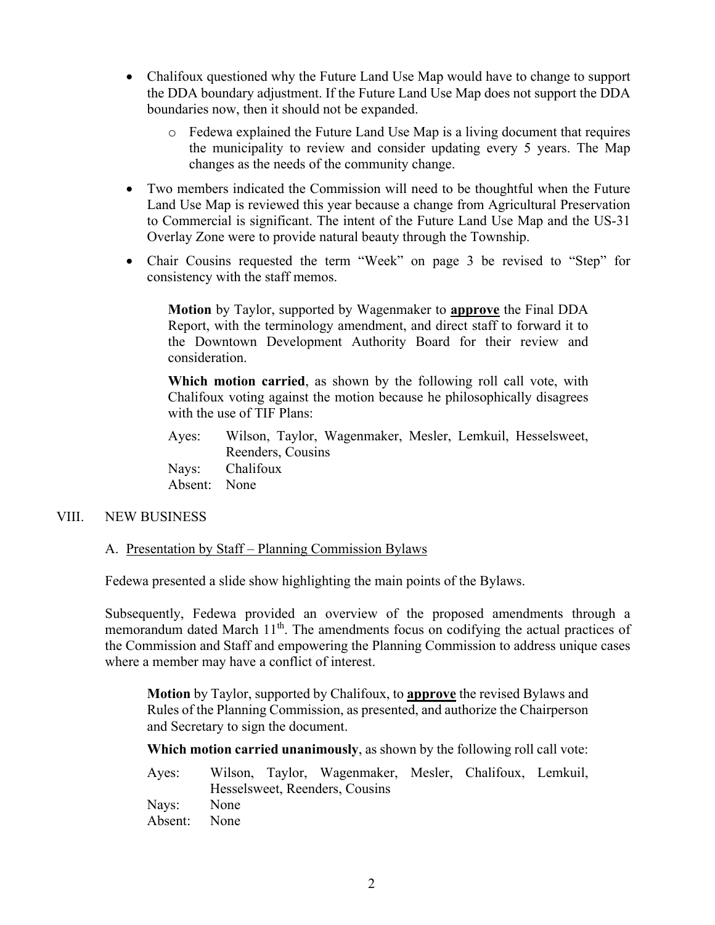- Chalifoux questioned why the Future Land Use Map would have to change to support the DDA boundary adjustment. If the Future Land Use Map does not support the DDA boundaries now, then it should not be expanded.
	- o Fedewa explained the Future Land Use Map is a living document that requires the municipality to review and consider updating every 5 years. The Map changes as the needs of the community change.
- Two members indicated the Commission will need to be thoughtful when the Future Land Use Map is reviewed this year because a change from Agricultural Preservation to Commercial is significant. The intent of the Future Land Use Map and the US-31 Overlay Zone were to provide natural beauty through the Township.
- Chair Cousins requested the term "Week" on page 3 be revised to "Step" for consistency with the staff memos.

**Motion** by Taylor, supported by Wagenmaker to **approve** the Final DDA Report, with the terminology amendment, and direct staff to forward it to the Downtown Development Authority Board for their review and consideration.

**Which motion carried**, as shown by the following roll call vote, with Chalifoux voting against the motion because he philosophically disagrees with the use of TIF Plans:

Ayes: Wilson, Taylor, Wagenmaker, Mesler, Lemkuil, Hesselsweet, Reenders, Cousins Nays: Chalifoux Absent: None

### VIII. NEW BUSINESS

### A. Presentation by Staff – Planning Commission Bylaws

Fedewa presented a slide show highlighting the main points of the Bylaws.

Subsequently, Fedewa provided an overview of the proposed amendments through a memorandum dated March 11<sup>th</sup>. The amendments focus on codifying the actual practices of the Commission and Staff and empowering the Planning Commission to address unique cases where a member may have a conflict of interest.

**Motion** by Taylor, supported by Chalifoux, to **approve** the revised Bylaws and Rules of the Planning Commission, as presented, and authorize the Chairperson and Secretary to sign the document.

**Which motion carried unanimously**, as shown by the following roll call vote:

| Ayes:        |                                |  | Wilson, Taylor, Wagenmaker, Mesler, Chalifoux, Lemkuil, |  |  |  |
|--------------|--------------------------------|--|---------------------------------------------------------|--|--|--|
|              | Hesselsweet, Reenders, Cousins |  |                                                         |  |  |  |
| Nays: None   |                                |  |                                                         |  |  |  |
| Absent: None |                                |  |                                                         |  |  |  |
|              |                                |  |                                                         |  |  |  |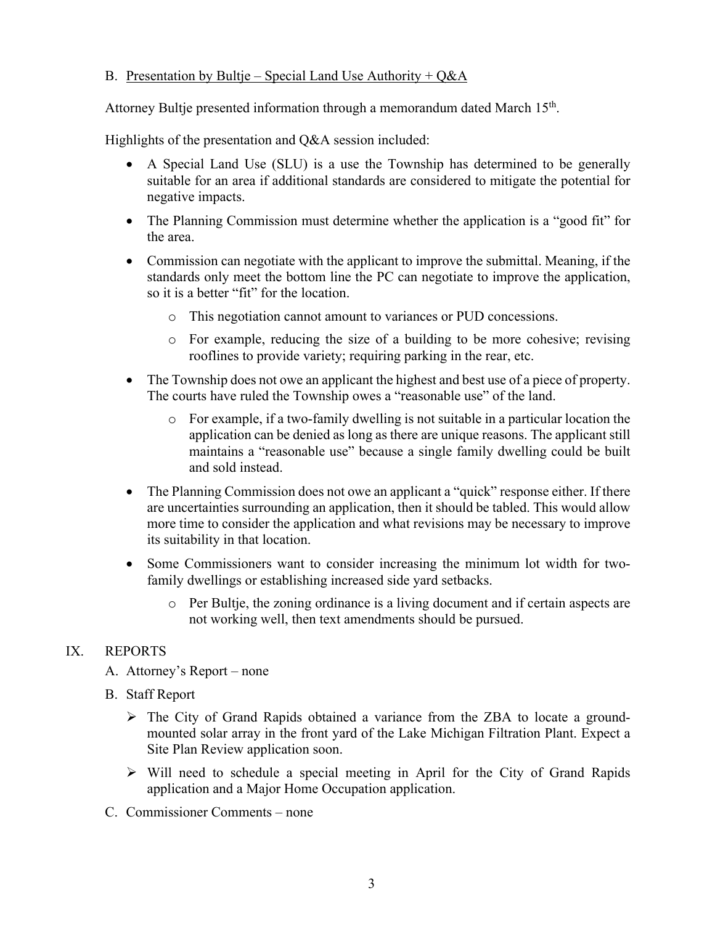## B. Presentation by Bultje – Special Land Use Authority +  $Q\&A$

Attorney Bultje presented information through a memorandum dated March 15<sup>th</sup>.

Highlights of the presentation and Q&A session included:

- A Special Land Use (SLU) is a use the Township has determined to be generally suitable for an area if additional standards are considered to mitigate the potential for negative impacts.
- The Planning Commission must determine whether the application is a "good fit" for the area.
- Commission can negotiate with the applicant to improve the submittal. Meaning, if the standards only meet the bottom line the PC can negotiate to improve the application, so it is a better "fit" for the location.
	- o This negotiation cannot amount to variances or PUD concessions.
	- o For example, reducing the size of a building to be more cohesive; revising rooflines to provide variety; requiring parking in the rear, etc.
- The Township does not owe an applicant the highest and best use of a piece of property. The courts have ruled the Township owes a "reasonable use" of the land.
	- o For example, if a two-family dwelling is not suitable in a particular location the application can be denied as long as there are unique reasons. The applicant still maintains a "reasonable use" because a single family dwelling could be built and sold instead.
- The Planning Commission does not owe an applicant a "quick" response either. If there are uncertainties surrounding an application, then it should be tabled. This would allow more time to consider the application and what revisions may be necessary to improve its suitability in that location.
- Some Commissioners want to consider increasing the minimum lot width for twofamily dwellings or establishing increased side yard setbacks.
	- o Per Bultje, the zoning ordinance is a living document and if certain aspects are not working well, then text amendments should be pursued.

## IX. REPORTS

- A. Attorney's Report none
- B. Staff Report
	- The City of Grand Rapids obtained a variance from the ZBA to locate a groundmounted solar array in the front yard of the Lake Michigan Filtration Plant. Expect a Site Plan Review application soon.
	- $\triangleright$  Will need to schedule a special meeting in April for the City of Grand Rapids application and a Major Home Occupation application.
- C. Commissioner Comments none